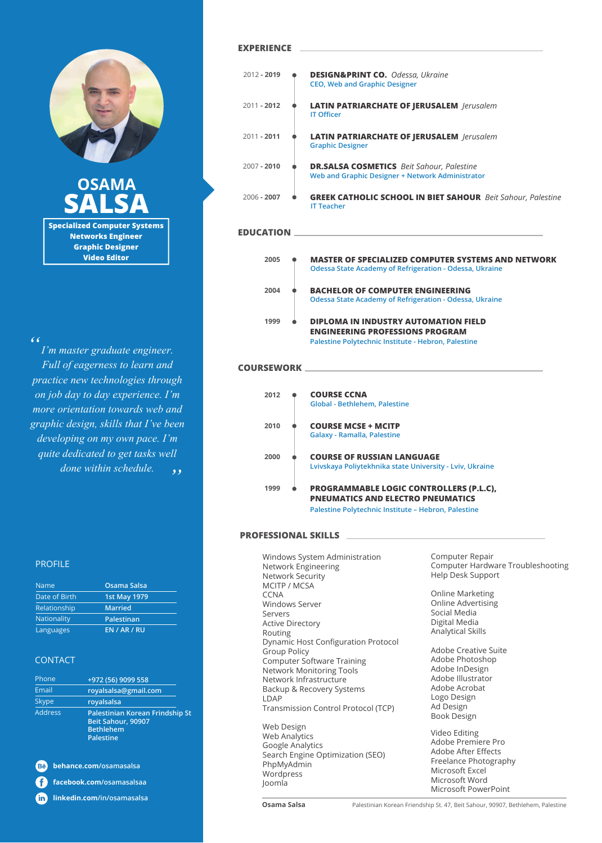

**Specialized Computer Systems OSAMA SALSA**

**Networks Engineer Graphic Designer Video Editor**

#### *"*

*I'm master graduate engineer. Full of eagerness to learn and practice new technologies through on job day to day experience. I'm more orientation towards web and graphic design, skills that I've been developing on my own pace. I'm quite dedicated to get tasks well*  done within schedule.  $\cdot$ ,

#### **EXPERIENCE**

| $2012 - 2019$ | <b>DESIGN&amp;PRINT CO.</b> Odessa, Ukraine<br><b>CEO, Web and Graphic Designer</b>                  |
|---------------|------------------------------------------------------------------------------------------------------|
| $2011 - 2012$ | <b>LATIN PATRIARCHATE OF JERUSALEM</b> lerusalem<br><b>IT Officer</b>                                |
| $2011 - 2011$ | <b>LATIN PATRIARCHATE OF JERUSALEM</b> <i>Jerusalem</i><br><b>Graphic Designer</b>                   |
| $2007 - 2010$ | <b>DR.SALSA COSMETICS</b> Beit Sahour, Palestine<br>Web and Graphic Designer + Network Administrator |
| $2006 - 2007$ | <b>GREEK CATHOLIC SCHOOL IN BIET SAHOUR</b> Beit Sahour, Palestine<br><b>IT Teacher</b>              |
|               |                                                                                                      |

## **EDUCATION**

| <b>MASTER OF SPECIALIZED COMPUTER SYSTEMS AND NETWORK</b><br>Odessa State Academy of Refrigeration - Odessa, Ukraine                         |
|----------------------------------------------------------------------------------------------------------------------------------------------|
| <b>BACHELOR OF COMPUTER ENGINEERING</b><br>Odessa State Academy of Refrigeration - Odessa, Ukraine                                           |
| <b>DIPLOMA IN INDUSTRY AUTOMATION FIELD</b><br><b>ENGINEERING PROFESSIONS PROGRAM</b><br>Palestine Polytechnic Institute - Hebron, Palestine |
|                                                                                                                                              |

#### **COURSEWORK**

| 2012 | <b>COURSE CCNA</b><br><b>Global - Bethlehem, Palestine</b>                                                                                        |
|------|---------------------------------------------------------------------------------------------------------------------------------------------------|
| 2010 | <b>COURSE MCSE + MCITP</b><br>Galaxy - Ramalla, Palestine                                                                                         |
| 2000 | <b>COURSE OF RUSSIAN LANGUAGE</b><br>Lyiyskaya Poliytekhnika state University - Lyiy, Ukraine                                                     |
| 1999 | <b>PROGRAMMABLE LOGIC CONTROLLERS (P.L.C),</b><br><b>PNEUMATICS AND ELECTRO PNEUMATICS</b><br>Palestine Polytechnic Institute - Hebron, Palestine |

#### **PROFESSIONAL SKILLS**

Windows System Administration Network Engineering Network Security MCITP / MCSA **CCNA** Windows Server Servers Active Directory Routing Dynamic Host Configuration Protocol Group Policy Computer Software Training Network Monitoring Tools Network Infrastructure Backup & Recovery Systems LDAP Transmission Control Protocol (TCP) Web Design Web Analytics Google Analytics Search Engine Optimization (SEO)

Computer Repair Computer Hardware Troubleshooting Help Desk Support

Online Marketing Online Advertising Social Media Digital Media Analytical Skills

Adobe Creative Suite Adobe Photoshop Adobe InDesign Adobe Illustrator Adobe Acrobat Logo Design Ad Design Book Design

Video Editing Adobe Premiere Pro Adobe After Effects Freelance Photography Microsoft Excel Microsoft Word Microsoft PowerPoint

## PROFILE

| <b>Name</b>   | Osama Salsa         |
|---------------|---------------------|
| Date of Birth | <b>1st May 1979</b> |
| Relationship  | <b>Married</b>      |
| Nationality   | Palestinan          |
| Languages     | <b>EN / AR / RU</b> |

#### CONTACT

| Phone          | +972 (56) 9099 558                                                                            |  |
|----------------|-----------------------------------------------------------------------------------------------|--|
| Email          | royalsalsa@gmail.com                                                                          |  |
| <b>Skype</b>   | royalsalsa                                                                                    |  |
| <b>Address</b> | Palestinian Korean Frindship St<br>Beit Sahour, 90907<br><b>Bethlehem</b><br><b>Palestine</b> |  |

**behance.com/osamasalsa**

Ð **facebook.com/osamasalsaa**

**linkedin.com/in/osamasalsa fin** 

PhpMyAdmin **Wordpress** Joomla

**Osama Salsa** Palestinian Korean Friendship St. 47, Beit Sahour, 90907, Bethlehem, Palestine